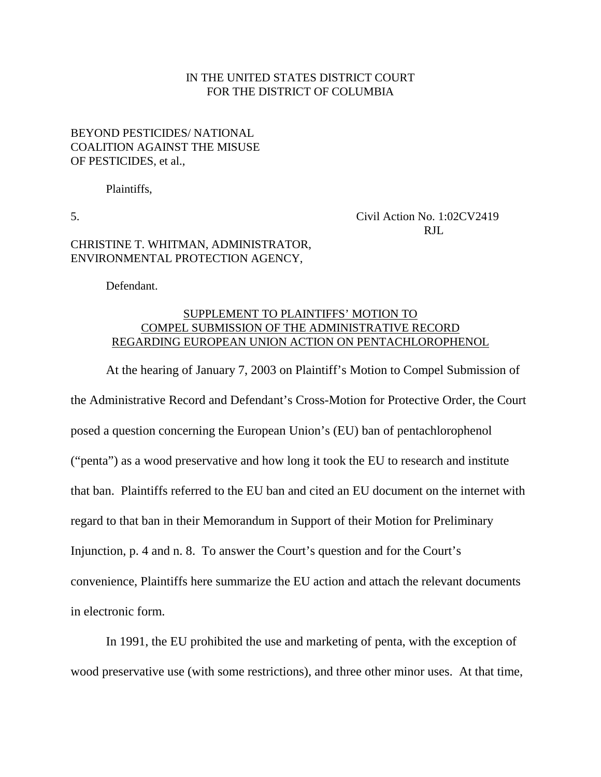## IN THE UNITED STATES DISTRICT COURT FOR THE DISTRICT OF COLUMBIA

## BEYOND PESTICIDES/ NATIONAL COALITION AGAINST THE MISUSE OF PESTICIDES, et al.,

Plaintiffs,

5. Civil Action No. 1:02CV2419 RJL

## CHRISTINE T. WHITMAN, ADMINISTRATOR, ENVIRONMENTAL PROTECTION AGENCY,

Defendant.

## SUPPLEMENT TO PLAINTIFFS' MOTION TO COMPEL SUBMISSION OF THE ADMINISTRATIVE RECORD REGARDING EUROPEAN UNION ACTION ON PENTACHLOROPHENOL

At the hearing of January 7, 2003 on Plaintiff's Motion to Compel Submission of the Administrative Record and Defendant's Cross-Motion for Protective Order, the Court posed a question concerning the European Union's (EU) ban of pentachlorophenol ("penta") as a wood preservative and how long it took the EU to research and institute that ban. Plaintiffs referred to the EU ban and cited an EU document on the internet with regard to that ban in their Memorandum in Support of their Motion for Preliminary Injunction, p. 4 and n. 8. To answer the Court's question and for the Court's convenience, Plaintiffs here summarize the EU action and attach the relevant documents in electronic form.

In 1991, the EU prohibited the use and marketing of penta, with the exception of wood preservative use (with some restrictions), and three other minor uses. At that time,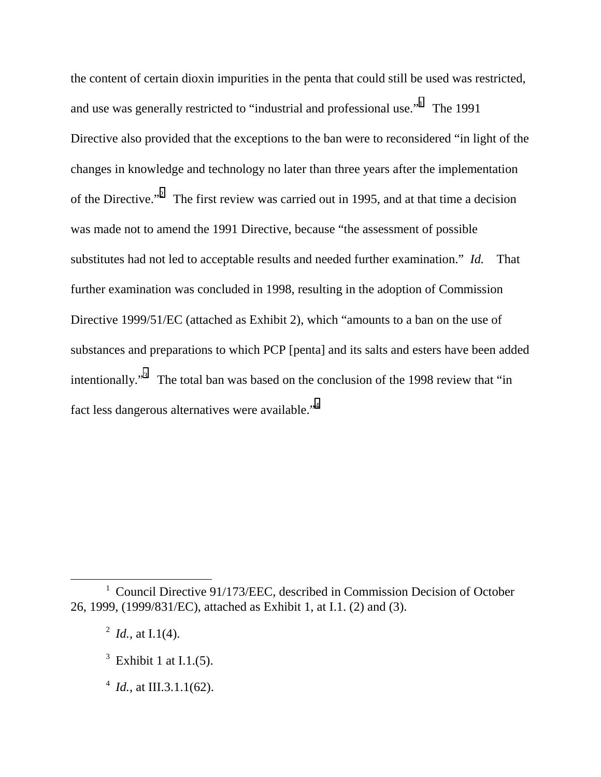the content of certain dioxin impurities in the penta that could still be used was restricted, and use was generally restricted to "industrial and professional use." The 1991 Directive also provided that the exceptions to the ban were to reconsidered "in light of the changes in knowledge and technology no later than three years after the implementation of the Directive."<sup>2</sup> The first review was carried out in 1995, and at that time a decision was made not to amend the 1991 Directive, because "the assessment of possible substitutes had not led to acceptable results and needed further examination." *Id.* That further examination was concluded in 1998, resulting in the adoption of Commission Directive 1999/51/EC (attached as Exhibit 2), which "amounts to a ban on the use of substances and preparations to which PCP [penta] and its salts and esters have been added intentionally."<sup>3</sup> The total ban was based on the conclusion of the 1998 review that "in fact less dangerous alternatives were available."<sup>4</sup>

- $3$  Exhibit 1 at I.1.(5).
- $4$  *Id.*, at III.3.1.1(62).

<sup>1&</sup>lt;sup>1</sup> <sup>1</sup> Council Directive 91/173/EEC, described in Commission Decision of October 26, 1999, (1999/831/EC), attached as Exhibit 1, at I.1. (2) and (3).

 $^2$  *Id.*, at I.1(4).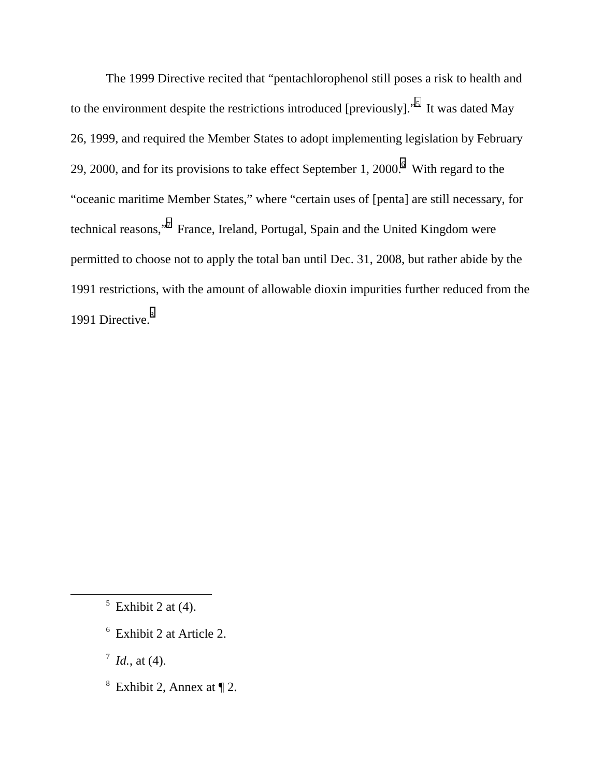The 1999 Directive recited that "pentachlorophenol still poses a risk to health and to the environment despite the restrictions introduced [previously]. $^{5}$  It was dated May 26, 1999, and required the Member States to adopt implementing legislation by February 29, 2000, and for its provisions to take effect September 1, 2000. $6$  With regard to the "oceanic maritime Member States," where "certain uses of [penta] are still necessary, for technical reasons,"<sup>7</sup> France, Ireland, Portugal, Spain and the United Kingdom were permitted to choose not to apply the total ban until Dec. 31, 2008, but rather abide by the 1991 restrictions, with the amount of allowable dioxin impurities further reduced from the 1991 Directive.<sup>8</sup>

 $\frac{7}{1}$  *Id.*, at (4).

<sup>8</sup> Exhibit 2, Annex at  $\P$  2.

 $\frac{1}{5}$  $5$  Exhibit 2 at (4).

<sup>6</sup> Exhibit 2 at Article 2.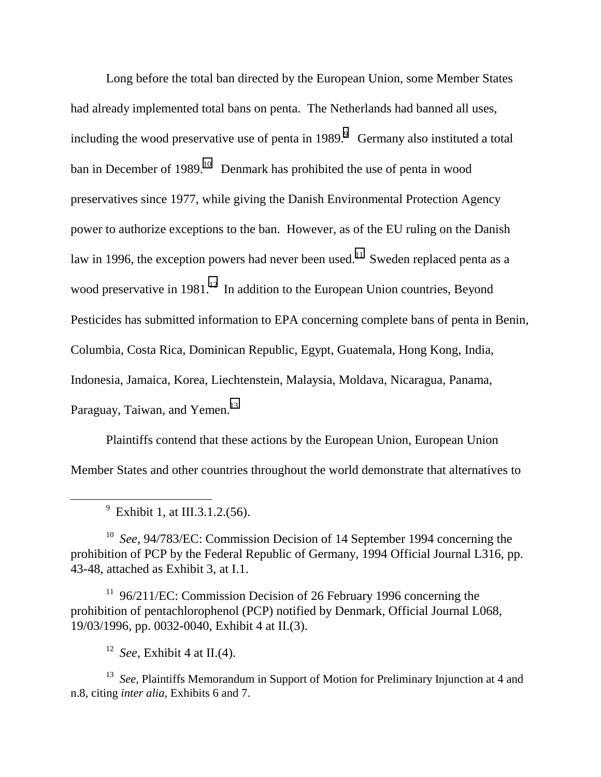Long before the total ban directed by the European Union, some Member States had already implemented total bans on penta. The Netherlands had banned all uses, including the wood preservative use of penta in  $1989.9$  Germany also instituted a total ban in December of 1989.<sup>10</sup> Denmark has prohibited the use of penta in wood preservatives since 1977, while giving the Danish Environmental Protection Agency power to authorize exceptions to the ban. However, as of the EU ruling on the Danish law in 1996, the exception powers had never been used.<sup>11</sup> Sweden replaced penta as a wood preservative in  $1981$ <sup>12</sup> In addition to the European Union countries, Beyond Pesticides has submitted information to EPA concerning complete bans of penta in Benin, Columbia, Costa Rica, Dominican Republic, Egypt, Guatemala, Hong Kong, India, Indonesia, Jamaica, Korea, Liechtenstein, Malaysia, Moldava, Nicaragua, Panama, Paraguay, Taiwan, and Yemen.<sup>13</sup>

Plaintiffs contend that these actions by the European Union, European Union Member States and other countries throughout the world demonstrate that alternatives to

 9  $^9$  Exhibit 1, at III.3.1.2.(56).

10 *See*, 94/783/EC: Commission Decision of 14 September 1994 concerning the prohibition of PCP by the Federal Republic of Germany, 1994 Official Journal L316, pp. 43-48, attached as Exhibit 3, at I.1.

<sup>11</sup> 96/211/EC: Commission Decision of 26 February 1996 concerning the prohibition of pentachlorophenol (PCP) notified by Denmark, Official Journal L068, 19/03/1996, pp. 0032-0040, Exhibit 4 at II.(3).

<sup>12</sup> *See*, Exhibit 4 at II.(4).

<sup>13</sup> *See*. Plaintiffs Memorandum in Support of Motion for Preliminary Injunction at 4 and n.8, citing *inter alia*, Exhibits 6 and 7.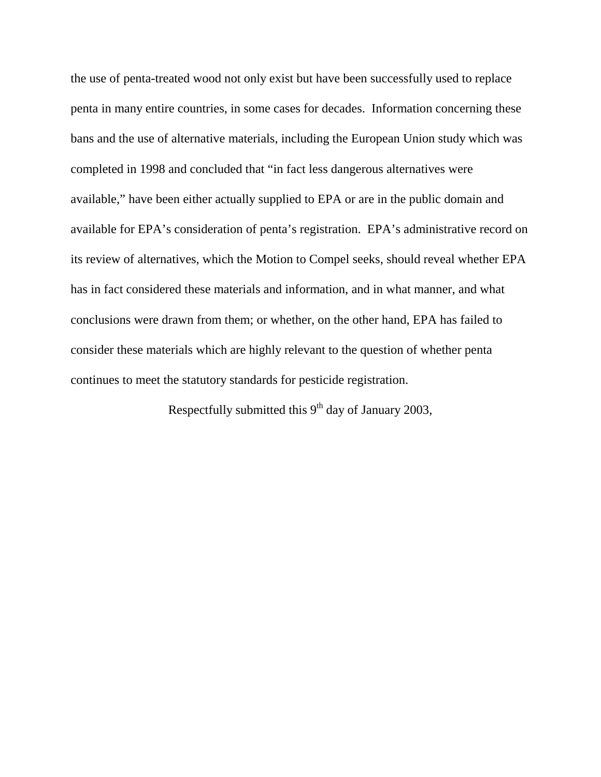the use of penta-treated wood not only exist but have been successfully used to replace penta in many entire countries, in some cases for decades. Information concerning these bans and the use of alternative materials, including the European Union study which was completed in 1998 and concluded that "in fact less dangerous alternatives were available," have been either actually supplied to EPA or are in the public domain and available for EPA's consideration of penta's registration. EPA's administrative record on its review of alternatives, which the Motion to Compel seeks, should reveal whether EPA has in fact considered these materials and information, and in what manner, and what conclusions were drawn from them; or whether, on the other hand, EPA has failed to consider these materials which are highly relevant to the question of whether penta continues to meet the statutory standards for pesticide registration.

Respectfully submitted this  $9<sup>th</sup>$  day of January 2003,